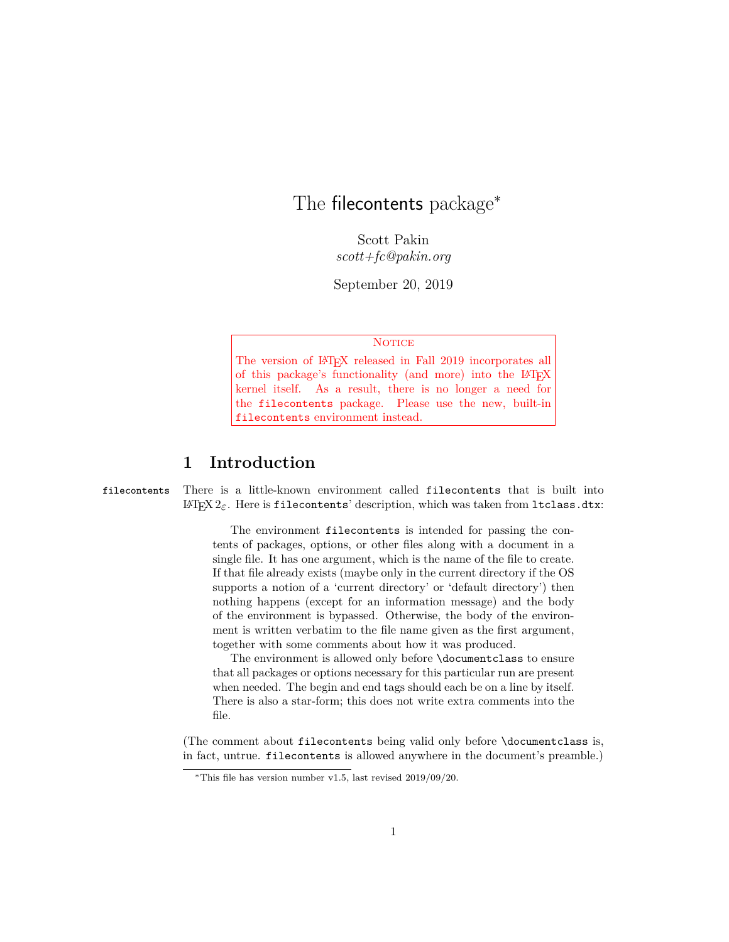# The filecontents package<sup>\*</sup>

Scott Pakin *scott+fc@pakin.org*

September 20, 2019

#### **NOTICE**

The version of LAT<sub>E</sub>X released in Fall 2019 incorporates all of this package's functionality (and more) into the LAT<sub>EX</sub> kernel itself. As a result, there is no longer a need for the filecontents package. Please use the new, built-in filecontents environment instead.

### **1 Introduction**

filecontents There is a little-known environment called filecontents that is built into  $\text{LFT}$  $\text{LZ}_\text{E}$ . Here is filecontents' description, which was taken from ltclass.dtx:

> The environment filecontents is intended for passing the contents of packages, options, or other files along with a document in a single file. It has one argument, which is the name of the file to create. If that file already exists (maybe only in the current directory if the OS supports a notion of a 'current directory' or 'default directory') then nothing happens (except for an information message) and the body of the environment is bypassed. Otherwise, the body of the environment is written verbatim to the file name given as the first argument, together with some comments about how it was produced.

> The environment is allowed only before \documentclass to ensure that all packages or options necessary for this particular run are present when needed. The begin and end tags should each be on a line by itself. There is also a star-form; this does not write extra comments into the file.

(The comment about filecontents being valid only before \documentclass is, in fact, untrue. filecontents is allowed anywhere in the document's preamble.)

<sup>∗</sup>This file has version number v1.5, last revised 2019/09/20.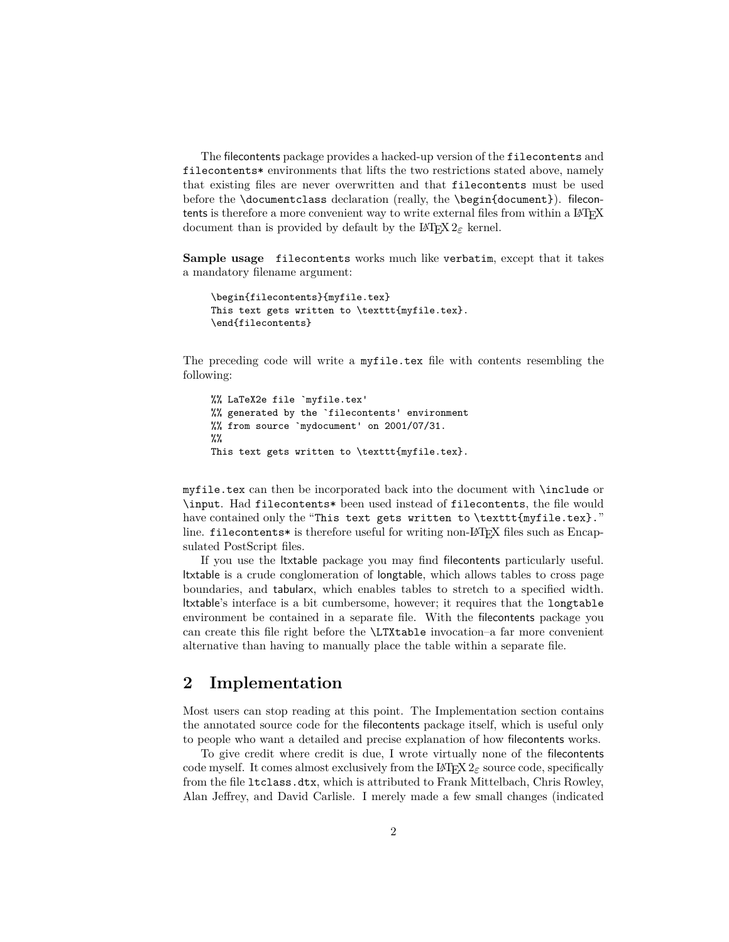The filecontents package provides a hacked-up version of the filecontents and filecontents\* environments that lifts the two restrictions stated above, namely that existing files are never overwritten and that filecontents must be used before the \documentclass declaration (really, the \begin{document}). filecontents is therefore a more convenient way to write external files from within a LAT<sub>EX</sub> document than is provided by default by the LATEX  $2\varepsilon$  kernel.

**Sample usage** filecontents works much like verbatim, except that it takes a mandatory filename argument:

```
\begin{filecontents}{myfile.tex}
This text gets written to \texttt{myfile.tex}.
\end{filecontents}
```
The preceding code will write a myfile.tex file with contents resembling the following:

```
%% LaTeX2e file `myfile.tex'
%% generated by the `filecontents' environment
%% from source `mydocument' on 2001/07/31.
%%
This text gets written to \texttt{myfile.tex}.
```
myfile.tex can then be incorporated back into the document with \include or \input. Had filecontents\* been used instead of filecontents, the file would have contained only the "This text gets written to \texttt{myfile.tex}." line. filecontents\* is therefore useful for writing non-LAT<sub>EX</sub> files such as Encapsulated PostScript files.

If you use the ltxtable package you may find filecontents particularly useful. ltxtable is a crude conglomeration of longtable, which allows tables to cross page boundaries, and tabularx, which enables tables to stretch to a specified width. ltxtable's interface is a bit cumbersome, however; it requires that the longtable environment be contained in a separate file. With the filecontents package you can create this file right before the \LTXtable invocation–a far more convenient alternative than having to manually place the table within a separate file.

### **2 Implementation**

Most users can stop reading at this point. The Implementation section contains the annotated source code for the filecontents package itself, which is useful only to people who want a detailed and precise explanation of how filecontents works.

To give credit where credit is due, I wrote virtually none of the filecontents code myself. It comes almost exclusively from the  $\mathbb{F}$ F<sub>E</sub>X  $2_\varepsilon$  source code, specifically from the file ltclass.dtx, which is attributed to Frank Mittelbach, Chris Rowley, Alan Jeffrey, and David Carlisle. I merely made a few small changes (indicated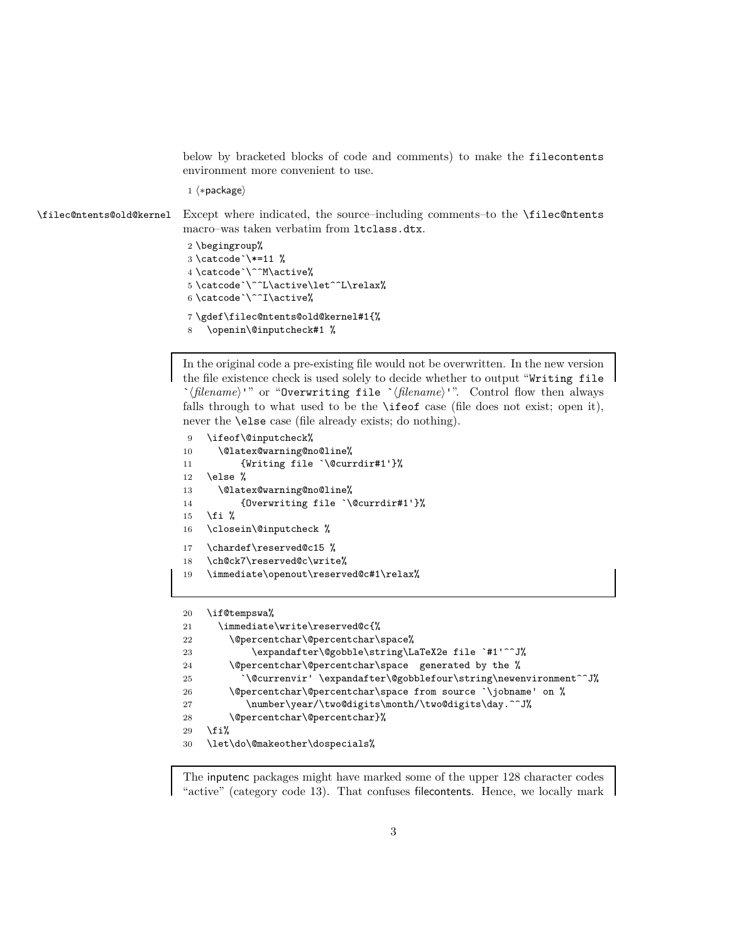below by bracketed blocks of code and comments) to make the filecontents environment more convenient to use.

1  $\langle *package \rangle$ 

\filec@ntents@old@kernel Except where indicated, the source–including comments–to the \filec@ntents macro–was taken verbatim from ltclass.dtx.

```
2 \begingroup%
3 \catcode`\*=11 %
4 \catcode`\^^M\active%
5 \catcode`\^^L\active\let^^L\relax%
6 \catcode`\^^I\active%
7 \gdef\filec@ntents@old@kernel#1{%
8 \openin\@inputcheck#1 %
```
In the original code a pre-existing file would not be overwritten. In the new version the file existence check is used solely to decide whether to output "Writing file `*(filename*)'" or "Overwriting file `*(filename*)'". Control flow then always falls through to what used to be the \ifeof case (file does not exist; open it), never the \else case (file already exists; do nothing).

```
9 \ifeof\@inputcheck%
10 \@latex@warning@no@line%
11 {Writing file `\@currdir#1'}%
12 \else %13 \@latex@warning@no@line%
14 {Overwriting file `\@currdir#1'}%
15 \fi %
16 \closein\@inputcheck %
17 \chardef\reserved@c15 %
18 \ch@ck7\reserved@c\write%
19 \immediate\openout\reserved@c#1\relax%
```

```
20 \if@tempswa%
21 \immediate\write\reserved@c{%
22 \@percentchar\@percentchar\space%
23 \expandafter\@gobble\string\LaTeX2e file `#1'^^J%
24 \@percentchar\@percentchar\space generated by the %
25 `\@currenvir' \expandafter\@gobblefour\string\newenvironment^^J%
26 \@percentchar\@percentchar\space from source `\jobname' on %
27 \number\year/\two@digits\month/\two@digits\day.^^J%
28 \@percentchar\@percentchar}%
29 \overline{\text{f}i\text{}}30 \let\do\@makeother\dospecials%
```
The inputenc packages might have marked some of the upper 128 character codes "active" (category code 13). That confuses filecontents. Hence, we locally mark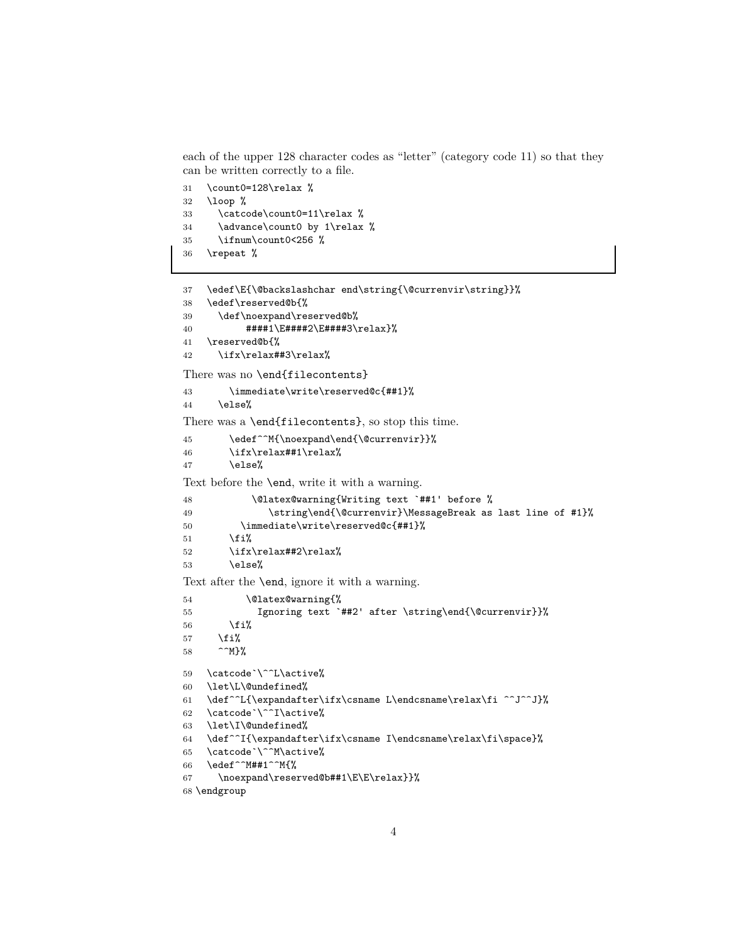each of the upper 128 character codes as "letter" (category code 11) so that they can be written correctly to a file.

```
31 \count0=128\relax %
32 \loop %
33 \catcode\count0=11\relax %
34 \advance\count0 by 1\relax %
35 \ifnum\count0<256 %
36 \repeat %
```

```
37 \edef\E{\@backslashchar end\string{\@currenvir\string}}%
38 \edef\reserved@b{%
39 \def\noexpand\reserved@b%
40 ####1\E####2\E####3\relax}%
41 \reserved@b{%
42 \ifx\relax##3\relax%
There was no \end{filecontents}
43 \immediate\write\reserved@c{##1}%
44 \else%
There was a \end{filecontents}, so stop this time.
45 \edef^^M{\noexpand\end{\@currenvir}}%
46 \ifx\relax##1\relax%
47 \else%
Text before the \end, write it with a warning.
48 \@latex@warning{Writing text `##1' before %
49 \string\end{\@currenvir}\MessageBreak as last line of #1}%
50 \immediate\write\reserved@c{##1}%
51 \{f_i\}52 \ifx\relax##2\relax%
53 \else%
Text after the \end, ignore it with a warning.
54 \@latex@warning{%
55 Ignoring text `##2' after \string\end{\@currenvir}}%
56 \overline{if'_s}57 \{f_i\}58 ^^M}%
59 \catcode`\^^L\active%
60 \let\L\@undefined%
61 \def^^L{\expandafter\ifx\csname L\endcsname\relax\fi ^^J^^J}%
62 \catcode`\^^I\active%
63 \let\I\@undefined%
64 \def^^I{\expandafter\ifx\csname I\endcsname\relax\fi\space}%
65 \catcode`\^^M\active%
66 \edef^^M##1^^M{%
67 \noexpand\reserved@b##1\E\E\relax}}%
```
\endgroup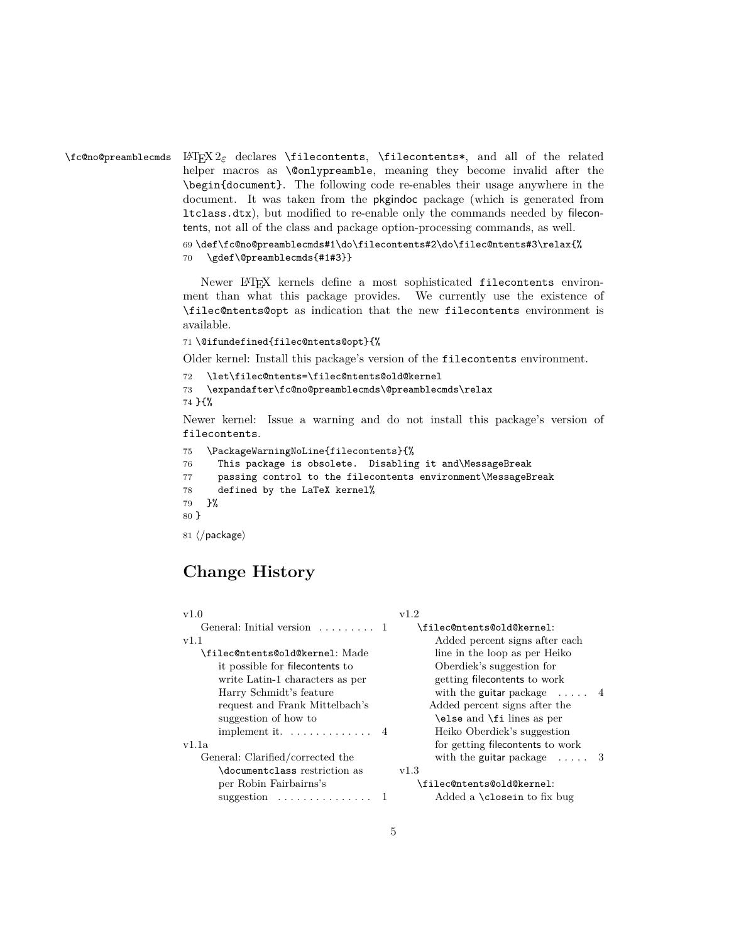$\lambda$ fc@no@preamblecmds LAT<sub>E</sub>X 2<sub> $\varepsilon$ </sub> declares  $\lambda$ filecontents,  $\lambda$ filecontents\*, and all of the related helper macros as \@onlypreamble, meaning they become invalid after the \begin{document}. The following code re-enables their usage anywhere in the document. It was taken from the pkgindoc package (which is generated from ltclass.dtx), but modified to re-enable only the commands needed by filecontents, not all of the class and package option-processing commands, as well.

```
69 \def\fc@no@preamblecmds#1\do\filecontents#2\do\filec@ntents#3\relax{%
70 \gdef\@preamblecmds{#1#3}}
```
Newer LAT<sub>E</sub>X kernels define a most sophisticated filecontents environment than what this package provides. We currently use the existence of \filec@ntents@opt as indication that the new filecontents environment is available.

#### 71 \@ifundefined{filec@ntents@opt}{%

Older kernel: Install this package's version of the filecontents environment.

```
72 \let\filec@ntents=\filec@ntents@old@kernel
```

```
73 \expandafter\fc@no@preamblecmds\@preamblecmds\relax
```
74 }{%

Newer kernel: Issue a warning and do not install this package's version of filecontents.

```
75 \PackageWarningNoLine{filecontents}{%
76 This package is obsolete. Disabling it and\MessageBreak
77 passing control to the filecontents environment\MessageBreak
78 defined by the LaTeX kernel%
79 }%
80 }
81 \langle/package\rangle
```
## **Change History**

| v1.2                              |
|-----------------------------------|
| \filec@ntents@old@kernel:         |
| Added percent signs after each    |
| line in the loop as per Heiko     |
| Oberdiek's suggestion for         |
| getting filecontents to work      |
| with the guitar package $\dots$ 4 |
| Added percent signs after the     |
| \else and \fi lines as per        |
| Heiko Oberdiek's suggestion       |
| for getting filecontents to work  |
| with the guitar package $\dots$ 3 |
| v1.3                              |
| \filec@ntents@old@kernel:         |
| Added a \closein to fix bug       |
|                                   |